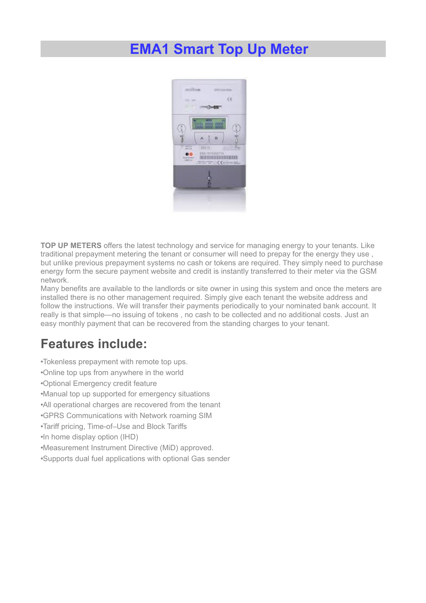## **EMA1 Smart Top Up Meter**



**TOP UP METERS** offers the latest technology and service for managing energy to your tenants. Like traditional prepayment metering the tenant or consumer will need to prepay for the energy they use , but unlike previous prepayment systems no cash or tokens are required. They simply need to purchase energy form the secure payment website and credit is instantly transferred to their meter via the GSM network.

Many benefits are available to the landlords or site owner in using this system and once the meters are installed there is no other management required. Simply give each tenant the website address and follow the instructions. We will transfer their payments periodically to your nominated bank account. It really is that simple—no issuing of tokens , no cash to be collected and no additional costs. Just an easy monthly payment that can be recovered from the standing charges to your tenant.

## **Features include:**

•Tokenless prepayment with remote top ups. •Online top ups from anywhere in the world •Optional Emergency credit feature •Manual top up supported for emergency situations •All operational charges are recovered from the tenant •GPRS Communications with Network roaming SIM •Tariff pricing, Time-of–Use and Block Tariffs •In home display option (IHD) •Measurement Instrument Directive (MiD) approved. •Supports dual fuel applications with optional Gas sender